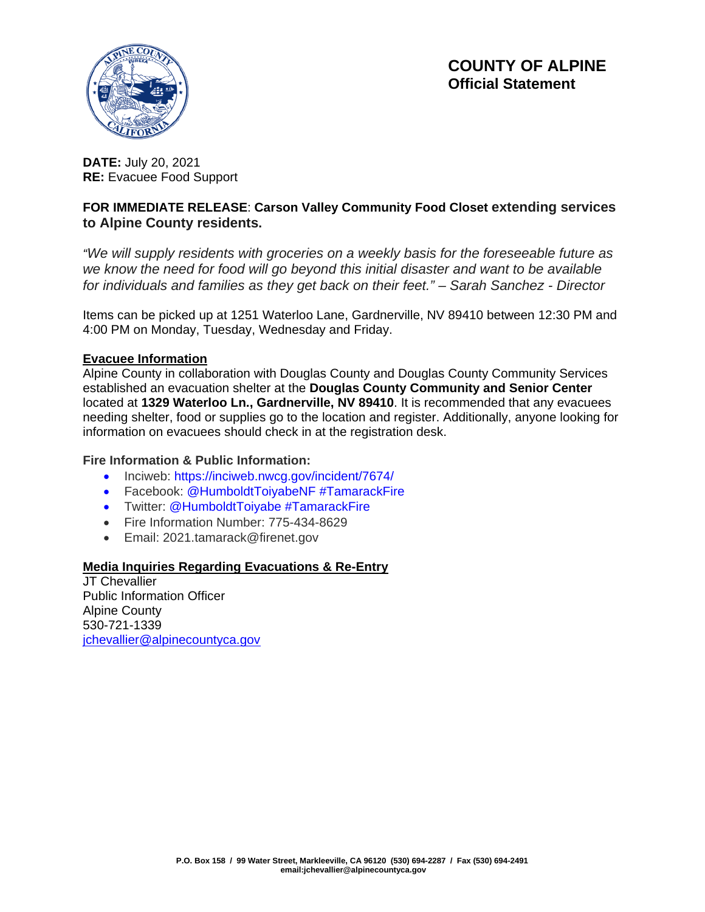



**DATE:** July 20, 2021 **RE:** Evacuee Food Support

### **FOR IMMEDIATE RELEASE**: **Carson Valley Community Food Closet extending services to Alpine County residents.**

*"We will supply residents with groceries on a weekly basis for the foreseeable future as we know the need for food will go beyond this initial disaster and want to be available for individuals and families as they get back on their feet." – Sarah Sanchez - Director*

Items can be picked up at 1251 Waterloo Lane, Gardnerville, NV 89410 between 12:30 PM and 4:00 PM on Monday, Tuesday, Wednesday and Friday.

#### **Evacuee Information**

Alpine County in collaboration with Douglas County and Douglas County Community Services established an evacuation shelter at the **Douglas County Community and Senior Center**  located at **1329 Waterloo Ln., Gardnerville, NV 89410**. It is recommended that any evacuees needing shelter, food or supplies go to the location and register. Additionally, anyone looking for information on evacuees should check in at the registration desk.

#### **Fire Information & Public Information:**

- Inciweb: https://inciweb.nwcg.gov/incident/7674/
- Facebook: @HumboldtToiyabeNF #TamarackFire
- Twitter: @HumboldtToiyabe #TamarackFire
- Fire Information Number: 775-434-8629
- Email: 2021.tamarack@firenet.gov

#### **Media Inquiries Regarding Evacuations & Re-Entry**

JT Chevallier Public Information Officer Alpine County 530-721-1339 ichevallier@alpinecountyca.gov